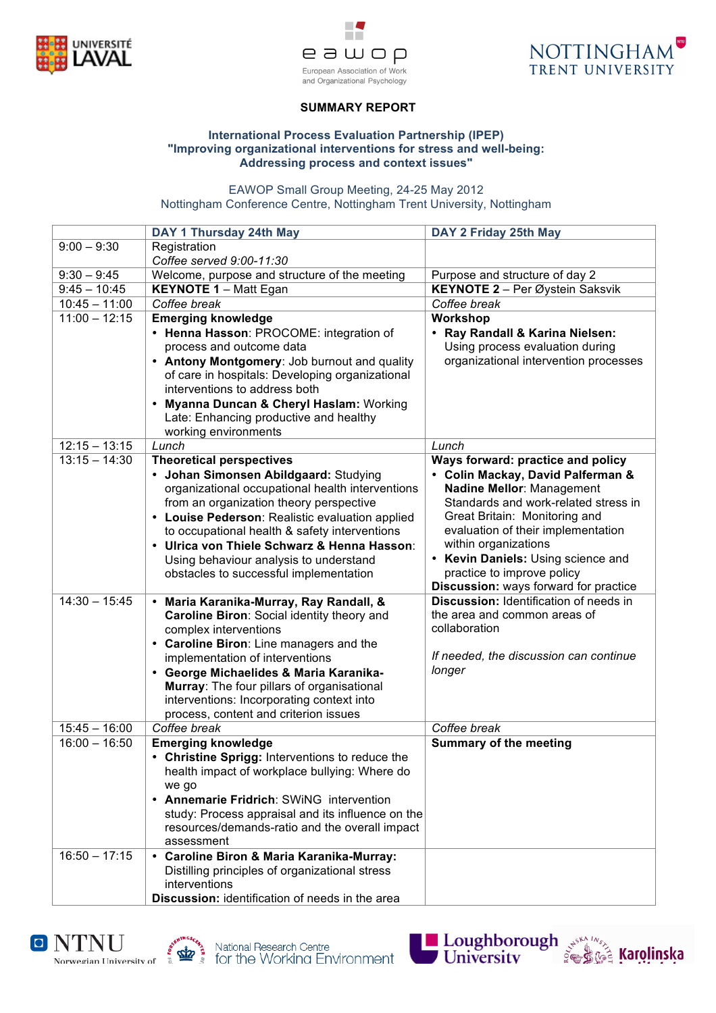





# **SUMMARY REPORT**

### **International Process Evaluation Partnership (IPEP) "Improving organizational interventions for stress and well-being: Addressing process and context issues"**

EAWOP Small Group Meeting, 24-25 May 2012 Nottingham Conference Centre, Nottingham Trent University, Nottingham

|                 | DAY 1 Thursday 24th May                                                               | DAY 2 Friday 25th May                                            |
|-----------------|---------------------------------------------------------------------------------------|------------------------------------------------------------------|
| $9:00 - 9:30$   | Registration                                                                          |                                                                  |
|                 | Coffee served 9:00-11:30                                                              |                                                                  |
| $9:30 - 9:45$   | Welcome, purpose and structure of the meeting                                         | Purpose and structure of day 2                                   |
| $9:45 - 10:45$  | <b>KEYNOTE 1 - Matt Egan</b>                                                          | KEYNOTE 2 - Per Øystein Saksvik                                  |
| $10:45 - 11:00$ | Coffee break                                                                          | Coffee break                                                     |
| $11:00 - 12:15$ | <b>Emerging knowledge</b>                                                             | Workshop                                                         |
|                 | • Henna Hasson: PROCOME: integration of                                               | • Ray Randall & Karina Nielsen:                                  |
|                 | process and outcome data                                                              | Using process evaluation during                                  |
|                 | • Antony Montgomery: Job burnout and quality                                          | organizational intervention processes                            |
|                 | of care in hospitals: Developing organizational                                       |                                                                  |
|                 | interventions to address both                                                         |                                                                  |
|                 | <b>Myanna Duncan &amp; Cheryl Haslam: Working</b>                                     |                                                                  |
|                 | Late: Enhancing productive and healthy                                                |                                                                  |
|                 | working environments                                                                  |                                                                  |
| $12:15 - 13:15$ | Lunch                                                                                 | Lunch                                                            |
| $13:15 - 14:30$ | <b>Theoretical perspectives</b>                                                       | Ways forward: practice and policy                                |
|                 | · Johan Simonsen Abildgaard: Studying                                                 | • Colin Mackay, David Palferman &                                |
|                 | organizational occupational health interventions                                      | Nadine Mellor: Management                                        |
|                 | from an organization theory perspective                                               | Standards and work-related stress in                             |
|                 | • Louise Pederson: Realistic evaluation applied                                       | Great Britain: Monitoring and                                    |
|                 | to occupational health & safety interventions                                         | evaluation of their implementation<br>within organizations       |
|                 | • Ulrica von Thiele Schwarz & Henna Hasson:                                           |                                                                  |
|                 | Using behaviour analysis to understand                                                | • Kevin Daniels: Using science and<br>practice to improve policy |
|                 | obstacles to successful implementation                                                | Discussion: ways forward for practice                            |
| $14:30 - 15:45$ |                                                                                       | Discussion: Identification of needs in                           |
|                 | · Maria Karanika-Murray, Ray Randall, &<br>Caroline Biron: Social identity theory and | the area and common areas of                                     |
|                 | complex interventions                                                                 | collaboration                                                    |
|                 | • Caroline Biron: Line managers and the                                               |                                                                  |
|                 | implementation of interventions                                                       | If needed, the discussion can continue                           |
|                 | • George Michaelides & Maria Karanika-                                                | longer                                                           |
|                 | Murray: The four pillars of organisational                                            |                                                                  |
|                 | interventions: Incorporating context into                                             |                                                                  |
|                 | process, content and criterion issues                                                 |                                                                  |
| $15:45 - 16:00$ | Coffee break                                                                          | Coffee break                                                     |
| $16:00 - 16:50$ | <b>Emerging knowledge</b>                                                             | <b>Summary of the meeting</b>                                    |
|                 | • Christine Sprigg: Interventions to reduce the                                       |                                                                  |
|                 | health impact of workplace bullying: Where do                                         |                                                                  |
|                 | we go                                                                                 |                                                                  |
|                 | • Annemarie Fridrich: SWiNG intervention                                              |                                                                  |
|                 | study: Process appraisal and its influence on the                                     |                                                                  |
|                 | resources/demands-ratio and the overall impact                                        |                                                                  |
|                 | assessment                                                                            |                                                                  |
| $16:50 - 17:15$ | • Caroline Biron & Maria Karanika-Murray:                                             |                                                                  |
|                 | Distilling principles of organizational stress                                        |                                                                  |
|                 | interventions                                                                         |                                                                  |
|                 | Discussion: identification of needs in the area                                       |                                                                  |







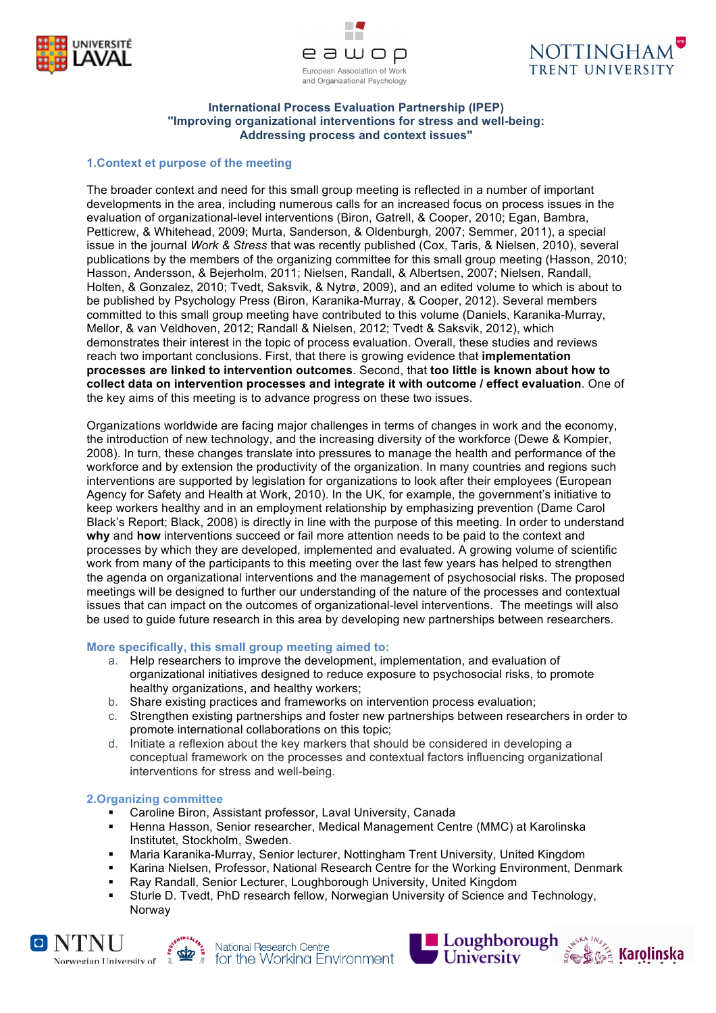





#### **International Process Evaluation Partnership (IPEP) "Improving organizational interventions for stress and well-being: Addressing process and context issues"**

# **1.Context et purpose of the meeting**

The broader context and need for this small group meeting is reflected in a number of important developments in the area, including numerous calls for an increased focus on process issues in the evaluation of organizational-level interventions (Biron, Gatrell, & Cooper, 2010; Egan, Bambra, Petticrew, & Whitehead, 2009; Murta, Sanderson, & Oldenburgh, 2007; Semmer, 2011), a special issue in the journal *Work & Stress* that was recently published (Cox, Taris, & Nielsen, 2010), several publications by the members of the organizing committee for this small group meeting (Hasson, 2010; Hasson, Andersson, & Bejerholm, 2011; Nielsen, Randall, & Albertsen, 2007; Nielsen, Randall, Holten, & Gonzalez, 2010; Tvedt, Saksvik, & Nytrø, 2009), and an edited volume to which is about to be published by Psychology Press (Biron, Karanika-Murray, & Cooper, 2012). Several members committed to this small group meeting have contributed to this volume (Daniels, Karanika-Murray, Mellor, & van Veldhoven, 2012; Randall & Nielsen, 2012; Tvedt & Saksvik, 2012), which demonstrates their interest in the topic of process evaluation. Overall, these studies and reviews reach two important conclusions. First, that there is growing evidence that **implementation processes are linked to intervention outcomes**. Second, that **too little is known about how to collect data on intervention processes and integrate it with outcome / effect evaluation**. One of the key aims of this meeting is to advance progress on these two issues.

Organizations worldwide are facing major challenges in terms of changes in work and the economy, the introduction of new technology, and the increasing diversity of the workforce (Dewe & Kompier, 2008). In turn, these changes translate into pressures to manage the health and performance of the workforce and by extension the productivity of the organization. In many countries and regions such interventions are supported by legislation for organizations to look after their employees (European Agency for Safety and Health at Work, 2010). In the UK, for example, the government's initiative to keep workers healthy and in an employment relationship by emphasizing prevention (Dame Carol Black's Report; Black, 2008) is directly in line with the purpose of this meeting. In order to understand **why** and **how** interventions succeed or fail more attention needs to be paid to the context and processes by which they are developed, implemented and evaluated. A growing volume of scientific work from many of the participants to this meeting over the last few years has helped to strengthen the agenda on organizational interventions and the management of psychosocial risks. The proposed meetings will be designed to further our understanding of the nature of the processes and contextual issues that can impact on the outcomes of organizational-level interventions. The meetings will also be used to guide future research in this area by developing new partnerships between researchers.

## **More specifically, this small group meeting aimed to:**

- a. Help researchers to improve the development, implementation, and evaluation of organizational initiatives designed to reduce exposure to psychosocial risks, to promote healthy organizations, and healthy workers;
- b. Share existing practices and frameworks on intervention process evaluation;
- c. Strengthen existing partnerships and foster new partnerships between researchers in order to promote international collaborations on this topic;
- d. Initiate a reflexion about the key markers that should be considered in developing a conceptual framework on the processes and contextual factors influencing organizational interventions for stress and well-being.

### **2.Organizing committee**

- ! Caroline Biron, Assistant professor, Laval University, Canada
- ! Henna Hasson, Senior researcher, Medical Management Centre (MMC) at Karolinska Institutet, Stockholm, Sweden.
- ! Maria Karanika-Murray, Senior lecturer, Nottingham Trent University, United Kingdom
- ! Karina Nielsen, Professor, National Research Centre for the Working Environment, Denmark
- Ray Randall, Senior Lecturer, Loughborough University, United Kingdom
- Sturle D. Tvedt, PhD research fellow, Norwegian University of Science and Technology, Norway





National Research Centre  $\left[ \bigotimes_{i=1}^{\infty} \mathbb{I} \right]$  for the Working Environment

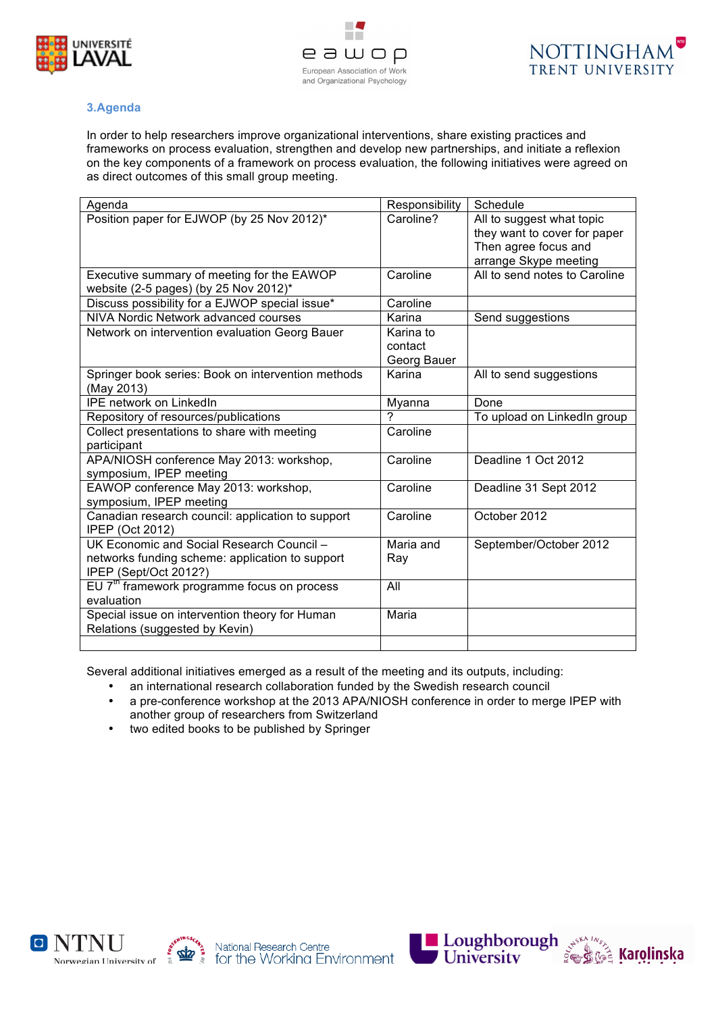



# **3.Agenda**

In order to help researchers improve organizational interventions, share existing practices and frameworks on process evaluation, strengthen and develop new partnerships, and initiate a reflexion on the key components of a framework on process evaluation, the following initiatives were agreed on as direct outcomes of this small group meeting.

| Agenda                                                                              | Responsibility | Schedule                                                  |
|-------------------------------------------------------------------------------------|----------------|-----------------------------------------------------------|
| Position paper for EJWOP (by 25 Nov 2012)*                                          | Caroline?      | All to suggest what topic<br>they want to cover for paper |
|                                                                                     |                | Then agree focus and<br>arrange Skype meeting             |
| Executive summary of meeting for the EAWOP<br>website (2-5 pages) (by 25 Nov 2012)* | Caroline       | All to send notes to Caroline                             |
| Discuss possibility for a EJWOP special issue*                                      | Caroline       |                                                           |
| NIVA Nordic Network advanced courses                                                | Karina         | Send suggestions                                          |
| Network on intervention evaluation Georg Bauer                                      | Karina to      |                                                           |
|                                                                                     | contact        |                                                           |
|                                                                                     | Georg Bauer    |                                                           |
| Springer book series: Book on intervention methods<br>(May 2013)                    | Karina         | All to send suggestions                                   |
| <b>IPE network on LinkedIn</b>                                                      | Myanna         | Done                                                      |
| Repository of resources/publications                                                | 7              | To upload on LinkedIn group                               |
| Collect presentations to share with meeting<br>participant                          | Caroline       |                                                           |
| APA/NIOSH conference May 2013: workshop,<br>symposium, IPEP meeting                 | Caroline       | Deadline 1 Oct 2012                                       |
| EAWOP conference May 2013: workshop,<br>symposium, IPEP meeting                     | Caroline       | Deadline 31 Sept 2012                                     |
| Canadian research council: application to support<br><b>IPEP (Oct 2012)</b>         | Caroline       | October 2012                                              |
| UK Economic and Social Research Council -                                           | Maria and      | September/October 2012                                    |
| networks funding scheme: application to support<br>IPEP (Sept/Oct 2012?)            | Ray            |                                                           |
| EU $7th$ framework programme focus on process<br>evaluation                         | All            |                                                           |
| Special issue on intervention theory for Human                                      | Maria          |                                                           |
| Relations (suggested by Kevin)                                                      |                |                                                           |
|                                                                                     |                |                                                           |

Several additional initiatives emerged as a result of the meeting and its outputs, including:

- an international research collaboration funded by the Swedish research council
- a pre-conference workshop at the 2013 APA/NIOSH conference in order to merge IPEP with another group of researchers from Switzerland
- two edited books to be published by Springer







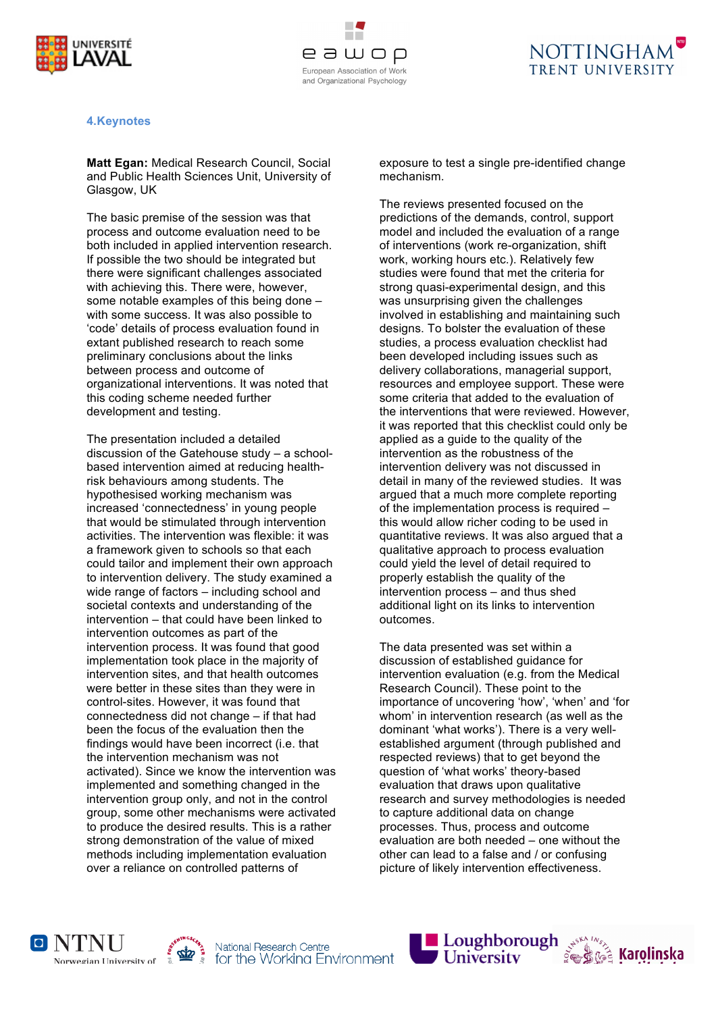



## **4.Keynotes**

**Matt Egan:** Medical Research Council, Social and Public Health Sciences Unit, University of Glasgow, UK

The basic premise of the session was that process and outcome evaluation need to be both included in applied intervention research. If possible the two should be integrated but there were significant challenges associated with achieving this. There were, however, some notable examples of this being done – with some success. It was also possible to 'code' details of process evaluation found in extant published research to reach some preliminary conclusions about the links between process and outcome of organizational interventions. It was noted that this coding scheme needed further development and testing.

The presentation included a detailed discussion of the Gatehouse study – a schoolbased intervention aimed at reducing healthrisk behaviours among students. The hypothesised working mechanism was increased 'connectedness' in young people that would be stimulated through intervention activities. The intervention was flexible: it was a framework given to schools so that each could tailor and implement their own approach to intervention delivery. The study examined a wide range of factors – including school and societal contexts and understanding of the intervention – that could have been linked to intervention outcomes as part of the intervention process. It was found that good implementation took place in the majority of intervention sites, and that health outcomes were better in these sites than they were in control-sites. However, it was found that connectedness did not change – if that had been the focus of the evaluation then the findings would have been incorrect (i.e. that the intervention mechanism was not activated). Since we know the intervention was implemented and something changed in the intervention group only, and not in the control group, some other mechanisms were activated to produce the desired results. This is a rather strong demonstration of the value of mixed methods including implementation evaluation over a reliance on controlled patterns of

exposure to test a single pre-identified change mechanism.

The reviews presented focused on the predictions of the demands, control, support model and included the evaluation of a range of interventions (work re-organization, shift work, working hours etc.). Relatively few studies were found that met the criteria for strong quasi-experimental design, and this was unsurprising given the challenges involved in establishing and maintaining such designs. To bolster the evaluation of these studies, a process evaluation checklist had been developed including issues such as delivery collaborations, managerial support, resources and employee support. These were some criteria that added to the evaluation of the interventions that were reviewed. However, it was reported that this checklist could only be applied as a guide to the quality of the intervention as the robustness of the intervention delivery was not discussed in detail in many of the reviewed studies. It was argued that a much more complete reporting of the implementation process is required – this would allow richer coding to be used in quantitative reviews. It was also argued that a qualitative approach to process evaluation could yield the level of detail required to properly establish the quality of the intervention process – and thus shed additional light on its links to intervention outcomes.

The data presented was set within a discussion of established guidance for intervention evaluation (e.g. from the Medical Research Council). These point to the importance of uncovering 'how', 'when' and 'for whom' in intervention research (as well as the dominant 'what works'). There is a very wellestablished argument (through published and respected reviews) that to get beyond the question of 'what works' theory-based evaluation that draws upon qualitative research and survey methodologies is needed to capture additional data on change processes. Thus, process and outcome evaluation are both needed – one without the other can lead to a false and / or confusing picture of likely intervention effectiveness.







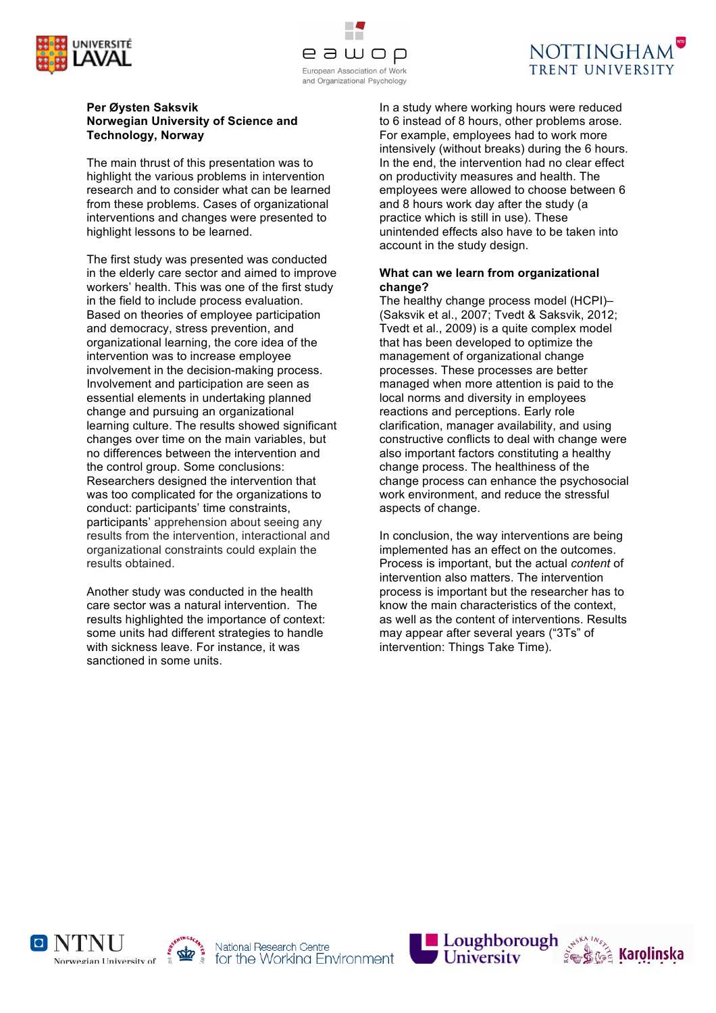





#### **Per Øysten Saksvik Norwegian University of Science and Technology, Norway**

The main thrust of this presentation was to highlight the various problems in intervention research and to consider what can be learned from these problems. Cases of organizational interventions and changes were presented to highlight lessons to be learned.

The first study was presented was conducted in the elderly care sector and aimed to improve workers' health. This was one of the first study in the field to include process evaluation. Based on theories of employee participation and democracy, stress prevention, and organizational learning, the core idea of the intervention was to increase employee involvement in the decision-making process. Involvement and participation are seen as essential elements in undertaking planned change and pursuing an organizational learning culture. The results showed significant changes over time on the main variables, but no differences between the intervention and the control group. Some conclusions: Researchers designed the intervention that was too complicated for the organizations to conduct: participants' time constraints, participants' apprehension about seeing any results from the intervention, interactional and organizational constraints could explain the results obtained.

Another study was conducted in the health care sector was a natural intervention. The results highlighted the importance of context: some units had different strategies to handle with sickness leave. For instance, it was sanctioned in some units.

In a study where working hours were reduced to 6 instead of 8 hours, other problems arose. For example, employees had to work more intensively (without breaks) during the 6 hours. In the end, the intervention had no clear effect on productivity measures and health. The employees were allowed to choose between 6 and 8 hours work day after the study (a practice which is still in use). These unintended effects also have to be taken into account in the study design.

## **What can we learn from organizational change?**

The healthy change process model (HCPI)– (Saksvik et al., 2007; Tvedt & Saksvik, 2012; Tvedt et al., 2009) is a quite complex model that has been developed to optimize the management of organizational change processes. These processes are better managed when more attention is paid to the local norms and diversity in employees reactions and perceptions. Early role clarification, manager availability, and using constructive conflicts to deal with change were also important factors constituting a healthy change process. The healthiness of the change process can enhance the psychosocial work environment, and reduce the stressful aspects of change.

In conclusion, the way interventions are being implemented has an effect on the outcomes. Process is important, but the actual *content* of intervention also matters. The intervention process is important but the researcher has to know the main characteristics of the context, as well as the content of interventions. Results may appear after several years ("3Ts" of intervention: Things Take Time).







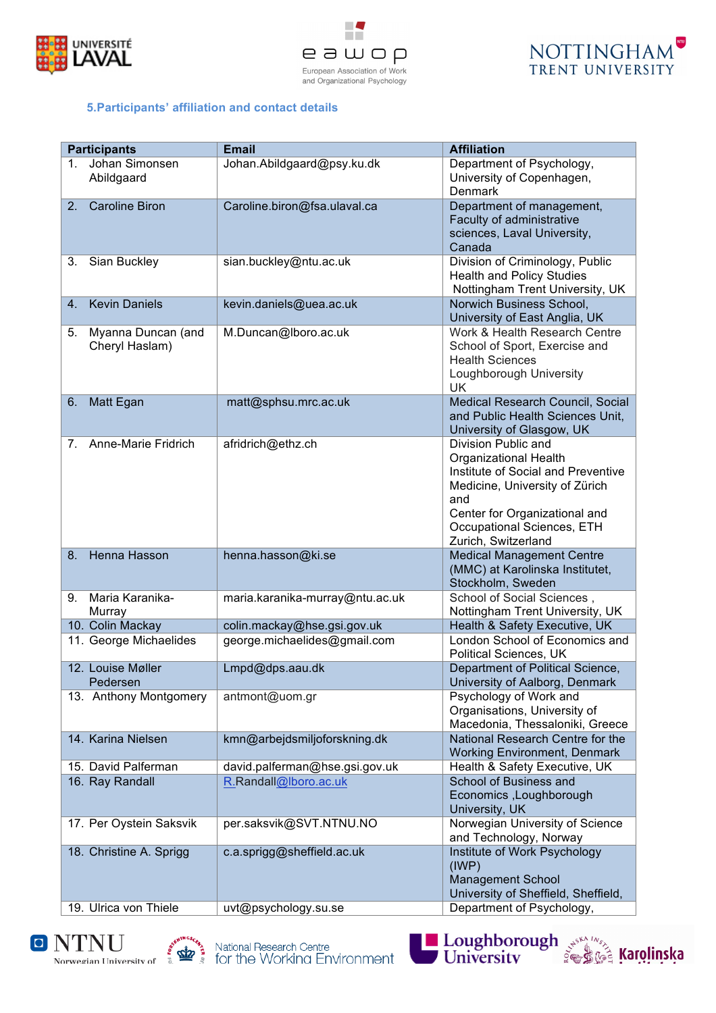





## **5.Participants' affiliation and contact details**

| <b>Participants</b> |                                      | <b>Email</b>                    | <b>Affiliation</b>                                                                                                                                                                                                       |
|---------------------|--------------------------------------|---------------------------------|--------------------------------------------------------------------------------------------------------------------------------------------------------------------------------------------------------------------------|
| 1.                  | Johan Simonsen<br>Abildgaard         | Johan.Abildgaard@psy.ku.dk      | Department of Psychology,<br>University of Copenhagen,<br><b>Denmark</b>                                                                                                                                                 |
| 2.                  | <b>Caroline Biron</b>                | Caroline.biron@fsa.ulaval.ca    | Department of management,<br>Faculty of administrative<br>sciences, Laval University,<br>Canada                                                                                                                          |
| 3.                  | Sian Buckley                         | sian.buckley@ntu.ac.uk          | Division of Criminology, Public<br><b>Health and Policy Studies</b><br>Nottingham Trent University, UK                                                                                                                   |
| 4.                  | <b>Kevin Daniels</b>                 | kevin.daniels@uea.ac.uk         | Norwich Business School,<br>University of East Anglia, UK                                                                                                                                                                |
| 5.                  | Myanna Duncan (and<br>Cheryl Haslam) | M.Duncan@lboro.ac.uk            | Work & Health Research Centre<br>School of Sport, Exercise and<br><b>Health Sciences</b><br>Loughborough University<br><b>UK</b>                                                                                         |
| 6.                  | Matt Egan                            | matt@sphsu.mrc.ac.uk            | Medical Research Council, Social<br>and Public Health Sciences Unit,<br>University of Glasgow, UK                                                                                                                        |
| 7.                  | Anne-Marie Fridrich                  | afridrich@ethz.ch               | Division Public and<br><b>Organizational Health</b><br>Institute of Social and Preventive<br>Medicine, University of Zürich<br>and<br>Center for Organizational and<br>Occupational Sciences, ETH<br>Zurich, Switzerland |
| 8.                  | Henna Hasson                         | henna.hasson@ki.se              | <b>Medical Management Centre</b><br>(MMC) at Karolinska Institutet,<br>Stockholm, Sweden                                                                                                                                 |
| 9.                  | Maria Karanika-<br>Murray            | maria.karanika-murray@ntu.ac.uk | School of Social Sciences,<br>Nottingham Trent University, UK                                                                                                                                                            |
|                     | 10. Colin Mackay                     | colin.mackay@hse.gsi.gov.uk     | Health & Safety Executive, UK                                                                                                                                                                                            |
|                     | 11. George Michaelides               | george.michaelides@gmail.com    | London School of Economics and<br>Political Sciences, UK                                                                                                                                                                 |
|                     | 12. Louise Møller<br>Pedersen        | Lmpd@dps.aau.dk                 | Department of Political Science,<br>University of Aalborg, Denmark                                                                                                                                                       |
|                     | 13. Anthony Montgomery               | antmont@uom.gr                  | Psychology of Work and<br>Organisations, University of<br>Macedonia, Thessaloniki, Greece                                                                                                                                |
|                     | 14. Karina Nielsen                   | kmn@arbejdsmiljoforskning.dk    | National Research Centre for the<br><b>Working Environment, Denmark</b>                                                                                                                                                  |
|                     | 15. David Palferman                  | david.palferman@hse.gsi.gov.uk  | Health & Safety Executive, UK                                                                                                                                                                                            |
|                     | 16. Ray Randall                      | R.Randall@lboro.ac.uk           | School of Business and<br>Economics, Loughborough<br>University, UK                                                                                                                                                      |
|                     | 17. Per Oystein Saksvik              | per.saksvik@SVT.NTNU.NO         | Norwegian University of Science<br>and Technology, Norway                                                                                                                                                                |
|                     | 18. Christine A. Sprigg              | c.a.sprigg@sheffield.ac.uk      | Institute of Work Psychology<br>$($ IWP $)$<br><b>Management School</b><br>University of Sheffield, Sheffield,                                                                                                           |
|                     | 19. Ulrica von Thiele                | uvt@psychology.su.se            | Department of Psychology,                                                                                                                                                                                                |







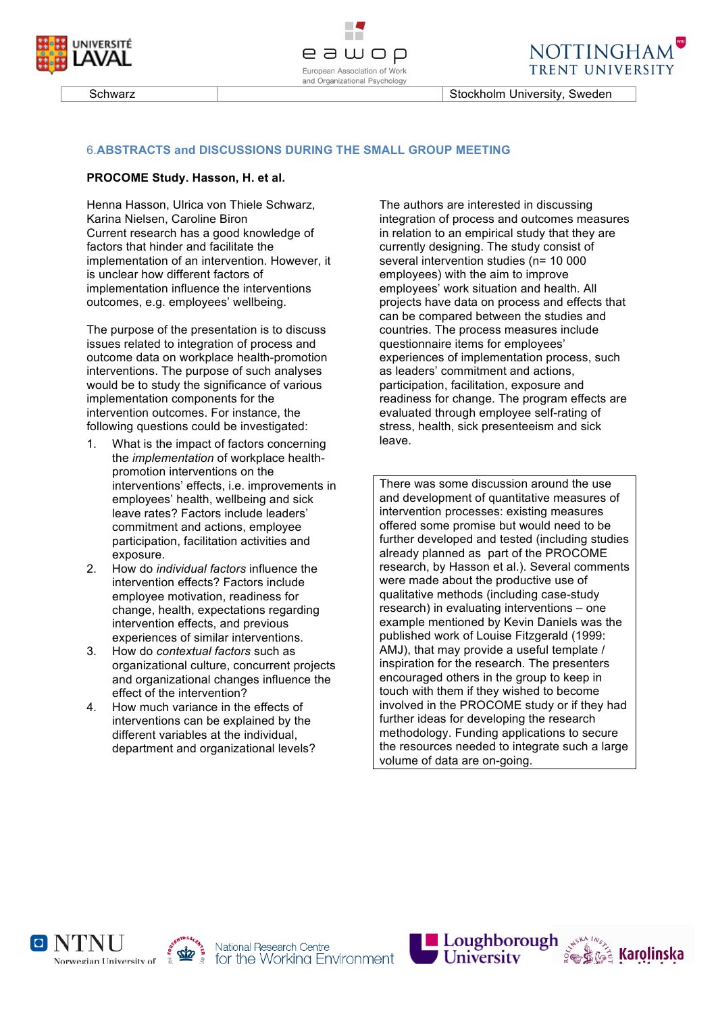





Schwarz **Stockholm University, Sweden** 

### 6.**ABSTRACTS and DISCUSSIONS DURING THE SMALL GROUP MEETING**

#### **PROCOME Study. Hasson, H. et al.**

Henna Hasson, Ulrica von Thiele Schwarz, Karina Nielsen, Caroline Biron Current research has a good knowledge of factors that hinder and facilitate the implementation of an intervention. However, it is unclear how different factors of implementation influence the interventions outcomes, e.g. employees' wellbeing.

The purpose of the presentation is to discuss issues related to integration of process and outcome data on workplace health-promotion interventions. The purpose of such analyses would be to study the significance of various implementation components for the intervention outcomes. For instance, the following questions could be investigated:

- 1. What is the impact of factors concerning the *implementation* of workplace healthpromotion interventions on the interventions' effects, i.e. improvements in employees' health, wellbeing and sick leave rates? Factors include leaders' commitment and actions, employee participation, facilitation activities and exposure.
- 2. How do *individual factors* influence the intervention effects? Factors include employee motivation, readiness for change, health, expectations regarding intervention effects, and previous experiences of similar interventions.
- 3. How do *contextual factors* such as organizational culture, concurrent projects and organizational changes influence the effect of the intervention?
- 4. How much variance in the effects of interventions can be explained by the different variables at the individual, department and organizational levels?

The authors are interested in discussing integration of process and outcomes measures in relation to an empirical study that they are currently designing. The study consist of several intervention studies (n= 10 000 employees) with the aim to improve employees' work situation and health. All projects have data on process and effects that can be compared between the studies and countries. The process measures include questionnaire items for employees' experiences of implementation process, such as leaders' commitment and actions, participation, facilitation, exposure and readiness for change. The program effects are evaluated through employee self-rating of stress, health, sick presenteeism and sick leave.

There was some discussion around the use and development of quantitative measures of intervention processes: existing measures offered some promise but would need to be further developed and tested (including studies already planned as part of the PROCOME research, by Hasson et al.). Several comments were made about the productive use of qualitative methods (including case-study research) in evaluating interventions – one example mentioned by Kevin Daniels was the published work of Louise Fitzgerald (1999: AMJ), that may provide a useful template / inspiration for the research. The presenters encouraged others in the group to keep in touch with them if they wished to become involved in the PROCOME study or if they had further ideas for developing the research methodology. Funding applications to secure the resources needed to integrate such a large volume of data are on-going.







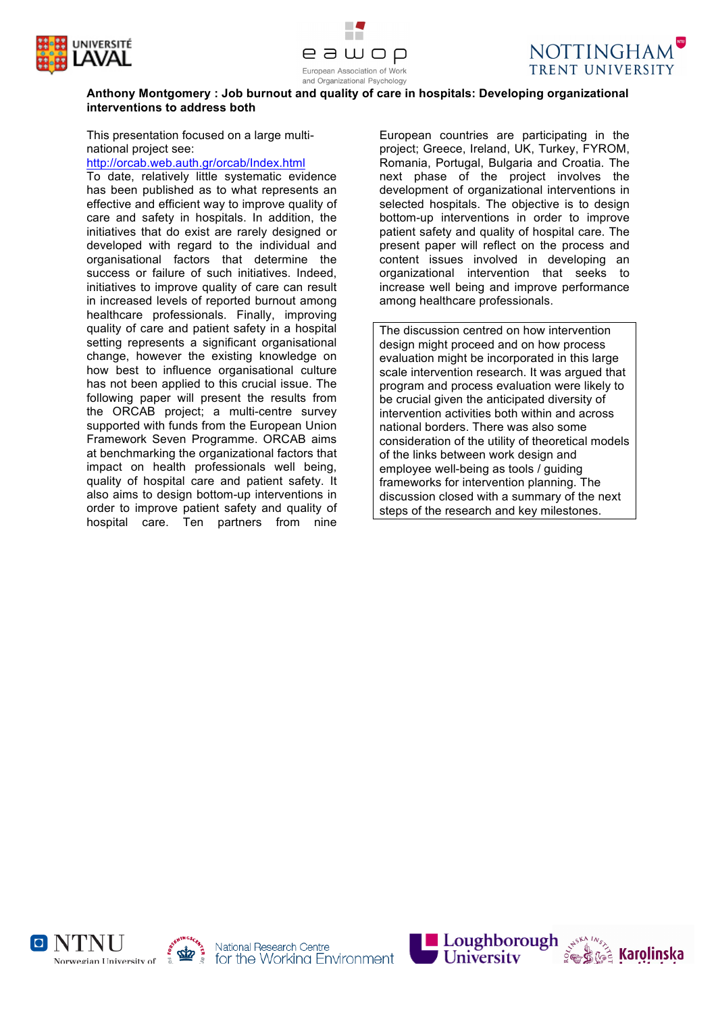





# **Anthony Montgomery : Job burnout and quality of care in hospitals: Developing organizational interventions to address both**

This presentation focused on a large multinational project see:

http://orcab.web.auth.gr/orcab/Index.html

To date, relatively little systematic evidence has been published as to what represents an effective and efficient way to improve quality of care and safety in hospitals. In addition, the initiatives that do exist are rarely designed or developed with regard to the individual and organisational factors that determine the success or failure of such initiatives. Indeed, initiatives to improve quality of care can result in increased levels of reported burnout among healthcare professionals. Finally, improving quality of care and patient safety in a hospital setting represents a significant organisational change, however the existing knowledge on how best to influence organisational culture has not been applied to this crucial issue. The following paper will present the results from the ORCAB project; a multi-centre survey supported with funds from the European Union Framework Seven Programme. ORCAB aims at benchmarking the organizational factors that impact on health professionals well being, quality of hospital care and patient safety. It also aims to design bottom-up interventions in order to improve patient safety and quality of hospital care. Ten partners from nine

European countries are participating in the project; Greece, Ireland, UK, Turkey, FYROM, Romania, Portugal, Bulgaria and Croatia. The next phase of the project involves the development of organizational interventions in selected hospitals. The objective is to design bottom-up interventions in order to improve patient safety and quality of hospital care. The present paper will reflect on the process and content issues involved in developing an organizational intervention that seeks to increase well being and improve performance among healthcare professionals.

The discussion centred on how intervention design might proceed and on how process evaluation might be incorporated in this large scale intervention research. It was argued that program and process evaluation were likely to be crucial given the anticipated diversity of intervention activities both within and across national borders. There was also some consideration of the utility of theoretical models of the links between work design and employee well-being as tools / guiding frameworks for intervention planning. The discussion closed with a summary of the next steps of the research and key milestones.







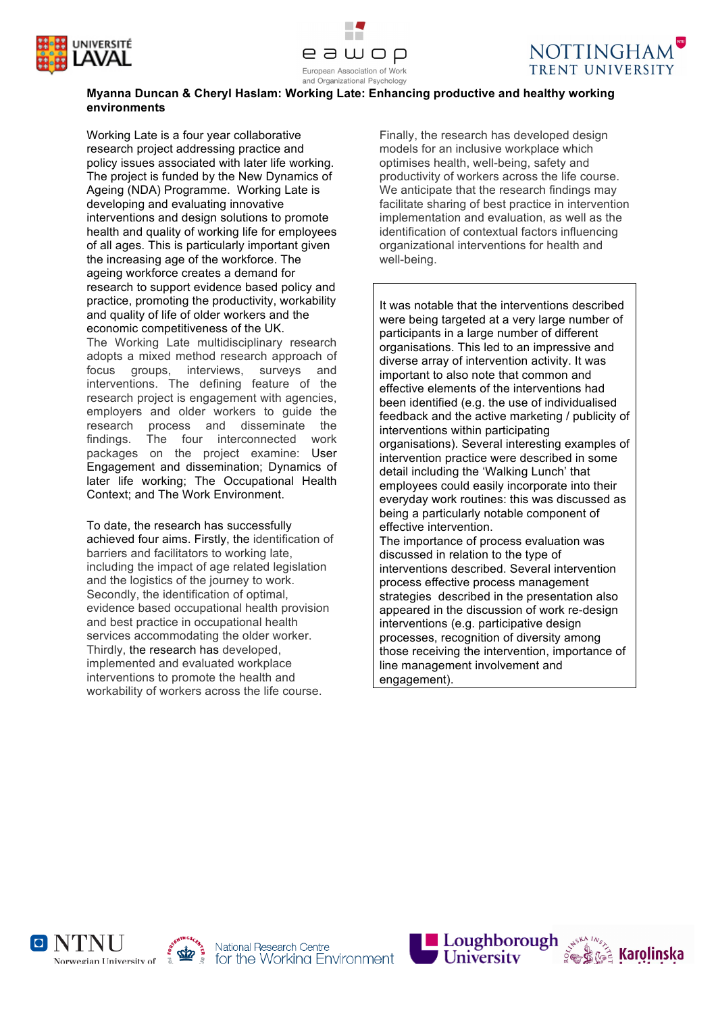





# **Myanna Duncan & Cheryl Haslam: Working Late: Enhancing productive and healthy working environments**

Working Late is a four year collaborative research project addressing practice and policy issues associated with later life working. The project is funded by the New Dynamics of Ageing (NDA) Programme. Working Late is developing and evaluating innovative interventions and design solutions to promote health and quality of working life for employees of all ages. This is particularly important given the increasing age of the workforce. The ageing workforce creates a demand for research to support evidence based policy and practice, promoting the productivity, workability and quality of life of older workers and the economic competitiveness of the UK. The Working Late multidisciplinary research adopts a mixed method research approach of focus groups, interviews, surveys and interventions. The defining feature of the research project is engagement with agencies, employers and older workers to guide the research process and disseminate the findings. The four interconnected work packages on the project examine: User Engagement and dissemination; Dynamics of later life working; The Occupational Health Context; and The Work Environment.

To date, the research has successfully achieved four aims. Firstly, the identification of barriers and facilitators to working late, including the impact of age related legislation and the logistics of the journey to work. Secondly, the identification of optimal, evidence based occupational health provision and best practice in occupational health services accommodating the older worker. Thirdly, the research has developed, implemented and evaluated workplace interventions to promote the health and workability of workers across the life course.

Finally, the research has developed design models for an inclusive workplace which optimises health, well-being, safety and productivity of workers across the life course. We anticipate that the research findings may facilitate sharing of best practice in intervention implementation and evaluation, as well as the identification of contextual factors influencing organizational interventions for health and well-being.

It was notable that the interventions described were being targeted at a very large number of participants in a large number of different organisations. This led to an impressive and diverse array of intervention activity. It was important to also note that common and effective elements of the interventions had been identified (e.g. the use of individualised feedback and the active marketing / publicity of interventions within participating organisations). Several interesting examples of intervention practice were described in some detail including the 'Walking Lunch' that employees could easily incorporate into their everyday work routines: this was discussed as being a particularly notable component of effective intervention. The importance of process evaluation was discussed in relation to the type of interventions described. Several intervention process effective process management

strategies described in the presentation also appeared in the discussion of work re-design interventions (e.g. participative design processes, recognition of diversity among those receiving the intervention, importance of line management involvement and engagement).

O NTNU Norwegian University of





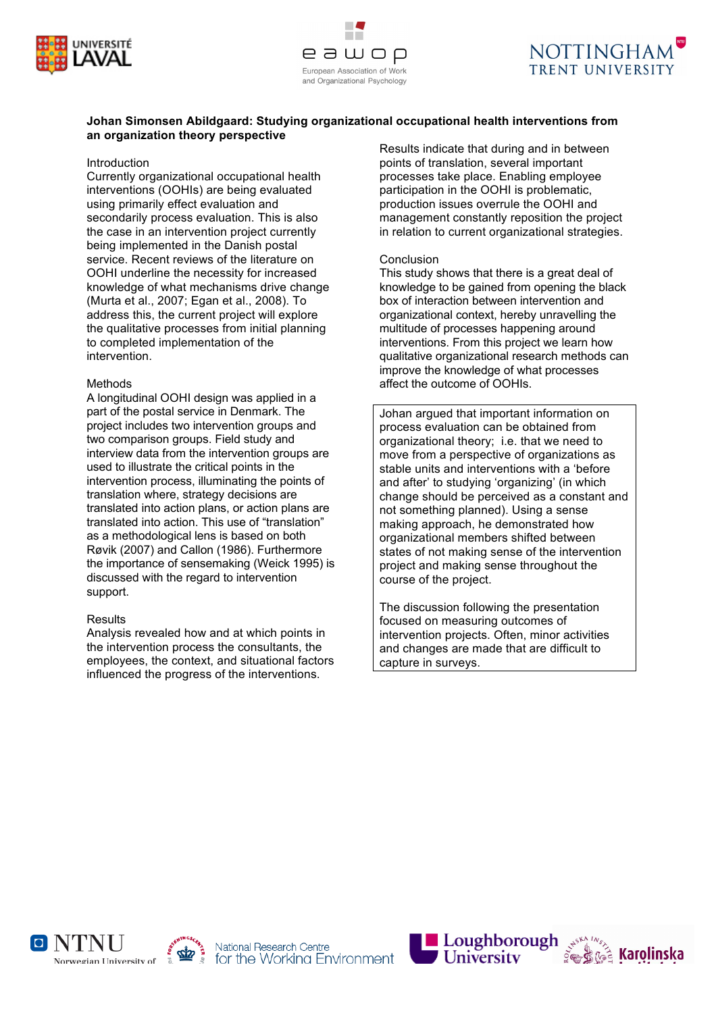



## **Johan Simonsen Abildgaard: Studying organizational occupational health interventions from an organization theory perspective**

#### Introduction

Currently organizational occupational health interventions (OOHIs) are being evaluated using primarily effect evaluation and secondarily process evaluation. This is also the case in an intervention project currently being implemented in the Danish postal service. Recent reviews of the literature on OOHI underline the necessity for increased knowledge of what mechanisms drive change (Murta et al., 2007; Egan et al., 2008). To address this, the current project will explore the qualitative processes from initial planning to completed implementation of the intervention.

### Methods

A longitudinal OOHI design was applied in a part of the postal service in Denmark. The project includes two intervention groups and two comparison groups. Field study and interview data from the intervention groups are used to illustrate the critical points in the intervention process, illuminating the points of translation where, strategy decisions are translated into action plans, or action plans are translated into action. This use of "translation" as a methodological lens is based on both Røvik (2007) and Callon (1986). Furthermore the importance of sensemaking (Weick 1995) is discussed with the regard to intervention support.

### **Results**

Analysis revealed how and at which points in the intervention process the consultants, the employees, the context, and situational factors influenced the progress of the interventions.

Results indicate that during and in between points of translation, several important processes take place. Enabling employee participation in the OOHI is problematic, production issues overrule the OOHI and management constantly reposition the project in relation to current organizational strategies.

### Conclusion

This study shows that there is a great deal of knowledge to be gained from opening the black box of interaction between intervention and organizational context, hereby unravelling the multitude of processes happening around interventions. From this project we learn how qualitative organizational research methods can improve the knowledge of what processes affect the outcome of OOHIs.

Johan argued that important information on process evaluation can be obtained from organizational theory; i.e. that we need to move from a perspective of organizations as stable units and interventions with a 'before and after' to studying 'organizing' (in which change should be perceived as a constant and not something planned). Using a sense making approach, he demonstrated how organizational members shifted between states of not making sense of the intervention project and making sense throughout the course of the project.

The discussion following the presentation focused on measuring outcomes of intervention projects. Often, minor activities and changes are made that are difficult to capture in surveys.







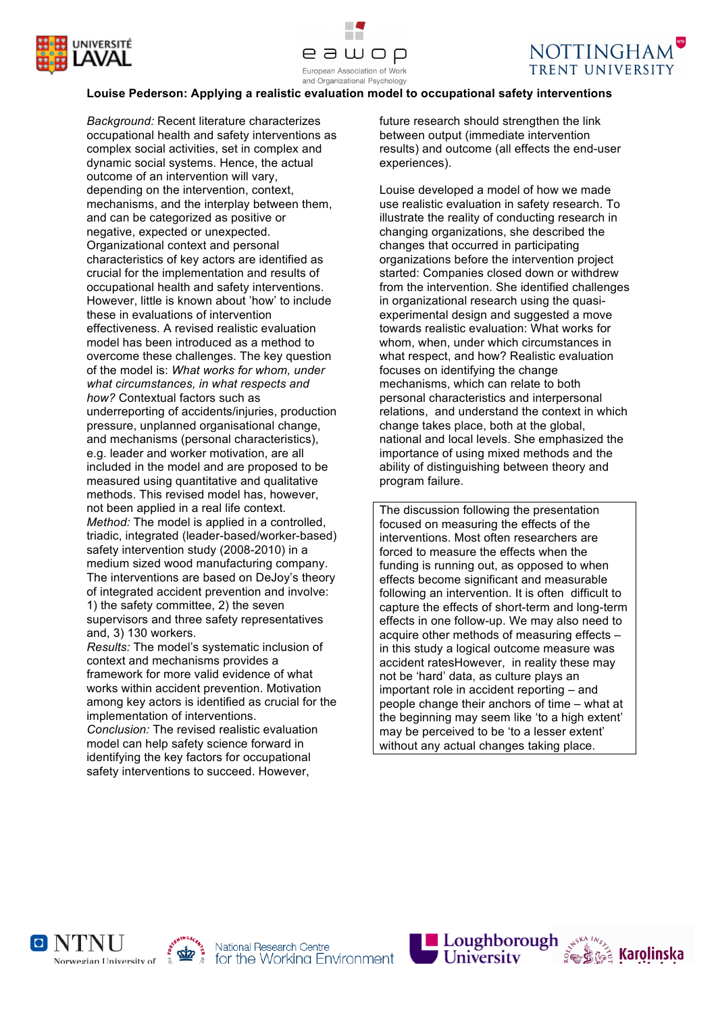





## **Louise Pederson: Applying a realistic evaluation model to occupational safety interventions**

*Background:* Recent literature characterizes occupational health and safety interventions as complex social activities, set in complex and dynamic social systems. Hence, the actual outcome of an intervention will vary, depending on the intervention, context, mechanisms, and the interplay between them, and can be categorized as positive or negative, expected or unexpected. Organizational context and personal characteristics of key actors are identified as crucial for the implementation and results of occupational health and safety interventions. However, little is known about 'how' to include these in evaluations of intervention effectiveness. A revised realistic evaluation model has been introduced as a method to overcome these challenges. The key question of the model is: *What works for whom, under what circumstances, in what respects and how?* Contextual factors such as underreporting of accidents/injuries, production pressure, unplanned organisational change, and mechanisms (personal characteristics), e.g. leader and worker motivation, are all included in the model and are proposed to be measured using quantitative and qualitative methods. This revised model has, however, not been applied in a real life context. *Method:* The model is applied in a controlled, triadic, integrated (leader-based/worker-based) safety intervention study (2008-2010) in a medium sized wood manufacturing company. The interventions are based on DeJoy's theory of integrated accident prevention and involve: 1) the safety committee, 2) the seven supervisors and three safety representatives and, 3) 130 workers.

*Results:* The model's systematic inclusion of context and mechanisms provides a framework for more valid evidence of what works within accident prevention. Motivation among key actors is identified as crucial for the implementation of interventions.

*Conclusion:* The revised realistic evaluation model can help safety science forward in identifying the key factors for occupational safety interventions to succeed. However,

future research should strengthen the link between output (immediate intervention results) and outcome (all effects the end-user experiences).

Louise developed a model of how we made use realistic evaluation in safety research. To illustrate the reality of conducting research in changing organizations, she described the changes that occurred in participating organizations before the intervention project started: Companies closed down or withdrew from the intervention. She identified challenges in organizational research using the quasiexperimental design and suggested a move towards realistic evaluation: What works for whom, when, under which circumstances in what respect, and how? Realistic evaluation focuses on identifying the change mechanisms, which can relate to both personal characteristics and interpersonal relations, and understand the context in which change takes place, both at the global, national and local levels. She emphasized the importance of using mixed methods and the ability of distinguishing between theory and program failure.

The discussion following the presentation focused on measuring the effects of the interventions. Most often researchers are forced to measure the effects when the funding is running out, as opposed to when effects become significant and measurable following an intervention. It is often difficult to capture the effects of short-term and long-term effects in one follow-up. We may also need to acquire other methods of measuring effects – in this study a logical outcome measure was accident ratesHowever, in reality these may not be 'hard' data, as culture plays an important role in accident reporting – and people change their anchors of time – what at the beginning may seem like 'to a high extent' may be perceived to be 'to a lesser extent' without any actual changes taking place.







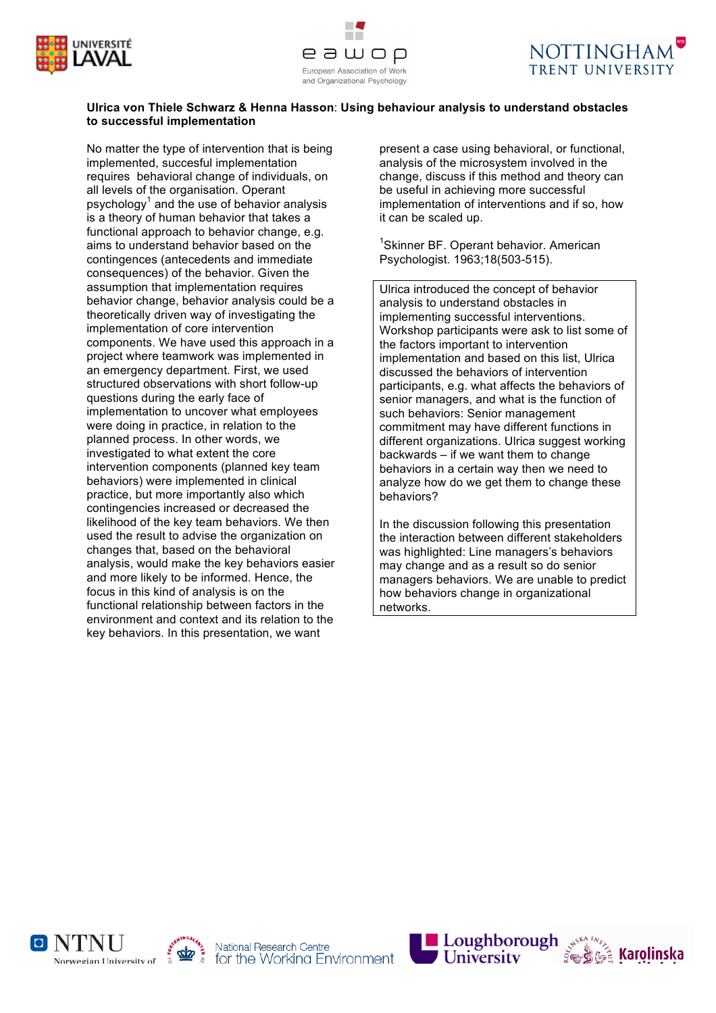





## **Ulrica von Thiele Schwarz & Henna Hasson**: **Using behaviour analysis to understand obstacles to successful implementation**

No matter the type of intervention that is being implemented, succesful implementation requires behavioral change of individuals, on all levels of the organisation. Operant psychology $<sup>1</sup>$  and the use of behavior analysis</sup> is a theory of human behavior that takes a functional approach to behavior change, e.g. aims to understand behavior based on the contingences (antecedents and immediate consequences) of the behavior. Given the assumption that implementation requires behavior change, behavior analysis could be a theoretically driven way of investigating the implementation of core intervention components. We have used this approach in a project where teamwork was implemented in an emergency department. First, we used structured observations with short follow-up questions during the early face of implementation to uncover what employees were doing in practice, in relation to the planned process. In other words, we investigated to what extent the core intervention components (planned key team behaviors) were implemented in clinical practice, but more importantly also which contingencies increased or decreased the likelihood of the key team behaviors. We then used the result to advise the organization on changes that, based on the behavioral analysis, would make the key behaviors easier and more likely to be informed. Hence, the focus in this kind of analysis is on the functional relationship between factors in the environment and context and its relation to the key behaviors. In this presentation, we want

present a case using behavioral, or functional, analysis of the microsystem involved in the change, discuss if this method and theory can be useful in achieving more successful implementation of interventions and if so, how it can be scaled up.

<sup>1</sup>Skinner BF. Operant behavior. American Psychologist. 1963;18(503-515).

Ulrica introduced the concept of behavior analysis to understand obstacles in implementing successful interventions. Workshop participants were ask to list some of the factors important to intervention implementation and based on this list, Ulrica discussed the behaviors of intervention participants, e.g. what affects the behaviors of senior managers, and what is the function of such behaviors: Senior management commitment may have different functions in different organizations. Ulrica suggest working backwards – if we want them to change behaviors in a certain way then we need to analyze how do we get them to change these behaviors?

In the discussion following this presentation the interaction between different stakeholders was highlighted: Line managers's behaviors may change and as a result so do senior managers behaviors. We are unable to predict how behaviors change in organizational networks.







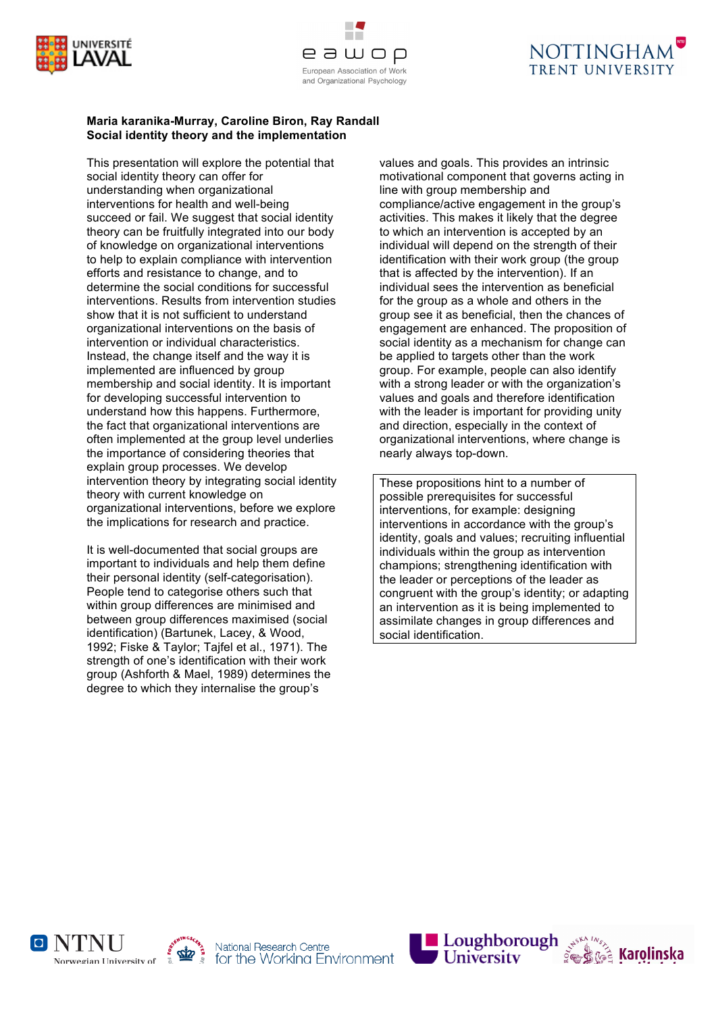





### **Maria karanika-Murray, Caroline Biron, Ray Randall Social identity theory and the implementation**

This presentation will explore the potential that social identity theory can offer for understanding when organizational interventions for health and well-being succeed or fail. We suggest that social identity theory can be fruitfully integrated into our body of knowledge on organizational interventions to help to explain compliance with intervention efforts and resistance to change, and to determine the social conditions for successful interventions. Results from intervention studies show that it is not sufficient to understand organizational interventions on the basis of intervention or individual characteristics. Instead, the change itself and the way it is implemented are influenced by group membership and social identity. It is important for developing successful intervention to understand how this happens. Furthermore, the fact that organizational interventions are often implemented at the group level underlies the importance of considering theories that explain group processes. We develop intervention theory by integrating social identity theory with current knowledge on organizational interventions, before we explore the implications for research and practice.

It is well-documented that social groups are important to individuals and help them define their personal identity (self-categorisation). People tend to categorise others such that within group differences are minimised and between group differences maximised (social identification) (Bartunek, Lacey, & Wood, 1992; Fiske & Taylor; Tajfel et al., 1971). The strength of one's identification with their work group (Ashforth & Mael, 1989) determines the degree to which they internalise the group's

values and goals. This provides an intrinsic motivational component that governs acting in line with group membership and compliance/active engagement in the group's activities. This makes it likely that the degree to which an intervention is accepted by an individual will depend on the strength of their identification with their work group (the group that is affected by the intervention). If an individual sees the intervention as beneficial for the group as a whole and others in the group see it as beneficial, then the chances of engagement are enhanced. The proposition of social identity as a mechanism for change can be applied to targets other than the work group. For example, people can also identify with a strong leader or with the organization's values and goals and therefore identification with the leader is important for providing unity and direction, especially in the context of organizational interventions, where change is nearly always top-down.

These propositions hint to a number of possible prerequisites for successful interventions, for example: designing interventions in accordance with the group's identity, goals and values; recruiting influential individuals within the group as intervention champions; strengthening identification with the leader or perceptions of the leader as congruent with the group's identity; or adapting an intervention as it is being implemented to assimilate changes in group differences and social identification.







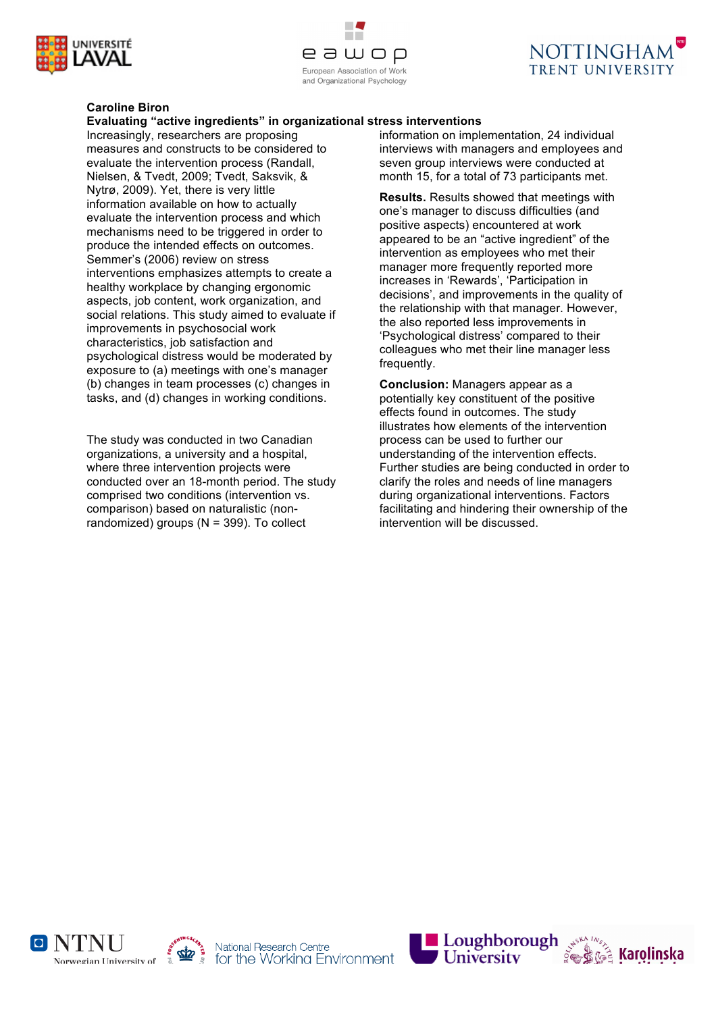





# **Caroline Biron**

# **Evaluating "active ingredients" in organizational stress interventions**

Increasingly, researchers are proposing measures and constructs to be considered to evaluate the intervention process (Randall, Nielsen, & Tvedt, 2009; Tvedt, Saksvik, & Nytrø, 2009). Yet, there is very little information available on how to actually evaluate the intervention process and which mechanisms need to be triggered in order to produce the intended effects on outcomes. Semmer's (2006) review on stress interventions emphasizes attempts to create a healthy workplace by changing ergonomic aspects, job content, work organization, and social relations. This study aimed to evaluate if improvements in psychosocial work characteristics, job satisfaction and psychological distress would be moderated by exposure to (a) meetings with one's manager (b) changes in team processes (c) changes in tasks, and (d) changes in working conditions.

The study was conducted in two Canadian organizations, a university and a hospital, where three intervention projects were conducted over an 18-month period. The study comprised two conditions (intervention vs. comparison) based on naturalistic (nonrandomized) groups  $(N = 399)$ . To collect

information on implementation, 24 individual interviews with managers and employees and seven group interviews were conducted at month 15, for a total of 73 participants met.

**Results.** Results showed that meetings with one's manager to discuss difficulties (and positive aspects) encountered at work appeared to be an "active ingredient" of the intervention as employees who met their manager more frequently reported more increases in 'Rewards', 'Participation in decisions', and improvements in the quality of the relationship with that manager. However, the also reported less improvements in 'Psychological distress' compared to their colleagues who met their line manager less frequently.

**Conclusion:** Managers appear as a potentially key constituent of the positive effects found in outcomes. The study illustrates how elements of the intervention process can be used to further our understanding of the intervention effects. Further studies are being conducted in order to clarify the roles and needs of line managers during organizational interventions. Factors facilitating and hindering their ownership of the intervention will be discussed.







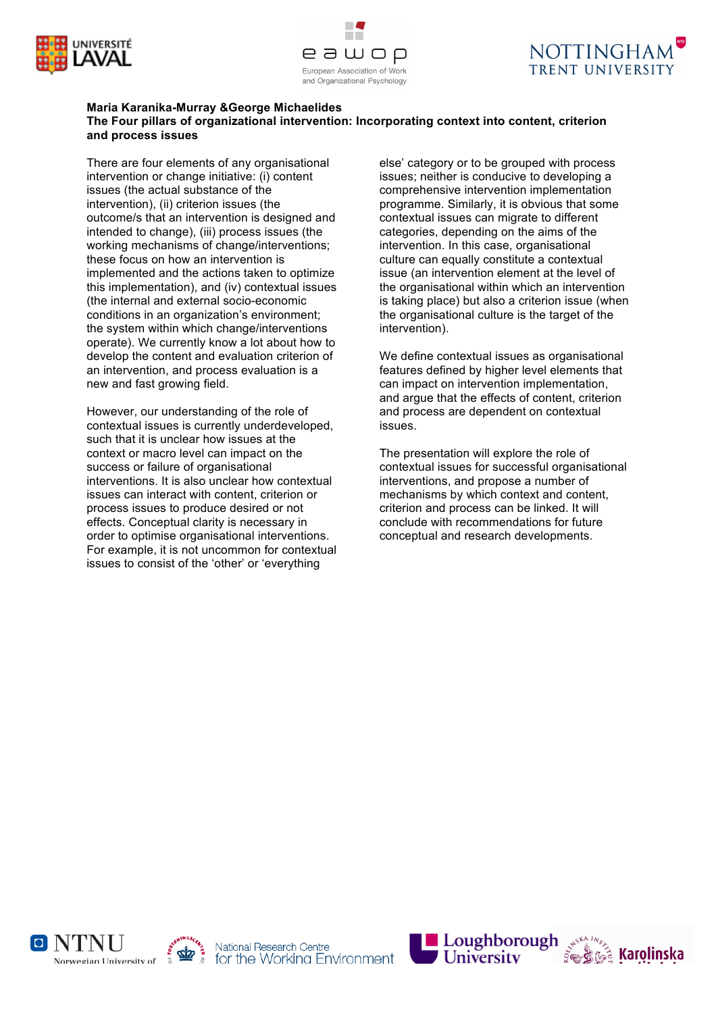





#### **Maria Karanika-Murray &George Michaelides The Four pillars of organizational intervention: Incorporating context into content, criterion and process issues**

There are four elements of any organisational intervention or change initiative: (i) content issues (the actual substance of the intervention), (ii) criterion issues (the outcome/s that an intervention is designed and intended to change), (iii) process issues (the working mechanisms of change/interventions; these focus on how an intervention is implemented and the actions taken to optimize this implementation), and (iv) contextual issues (the internal and external socio-economic conditions in an organization's environment; the system within which change/interventions operate). We currently know a lot about how to develop the content and evaluation criterion of an intervention, and process evaluation is a new and fast growing field.

However, our understanding of the role of contextual issues is currently underdeveloped, such that it is unclear how issues at the context or macro level can impact on the success or failure of organisational interventions. It is also unclear how contextual issues can interact with content, criterion or process issues to produce desired or not effects. Conceptual clarity is necessary in order to optimise organisational interventions. For example, it is not uncommon for contextual issues to consist of the 'other' or 'everything

else' category or to be grouped with process issues; neither is conducive to developing a comprehensive intervention implementation programme. Similarly, it is obvious that some contextual issues can migrate to different categories, depending on the aims of the intervention. In this case, organisational culture can equally constitute a contextual issue (an intervention element at the level of the organisational within which an intervention is taking place) but also a criterion issue (when the organisational culture is the target of the intervention).

We define contextual issues as organisational features defined by higher level elements that can impact on intervention implementation, and argue that the effects of content, criterion and process are dependent on contextual issues.

The presentation will explore the role of contextual issues for successful organisational interventions, and propose a number of mechanisms by which context and content, criterion and process can be linked. It will conclude with recommendations for future conceptual and research developments.







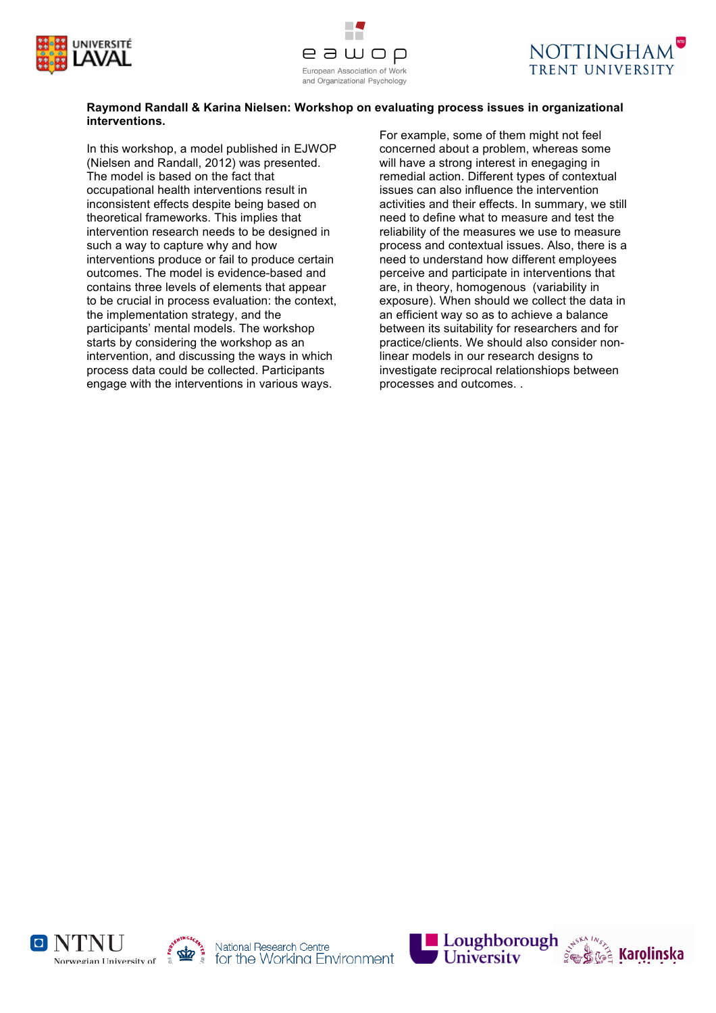





### **Raymond Randall & Karina Nielsen: Workshop on evaluating process issues in organizational interventions.**

In this workshop, a model published in EJWOP (Nielsen and Randall, 2012) was presented. The model is based on the fact that occupational health interventions result in inconsistent effects despite being based on theoretical frameworks. This implies that intervention research needs to be designed in such a way to capture why and how interventions produce or fail to produce certain outcomes. The model is evidence-based and contains three levels of elements that appear to be crucial in process evaluation: the context, the implementation strategy, and the participants' mental models. The workshop starts by considering the workshop as an intervention, and discussing the ways in which process data could be collected. Participants engage with the interventions in various ways.

For example, some of them might not feel concerned about a problem, whereas some will have a strong interest in enegaging in remedial action. Different types of contextual issues can also influence the intervention activities and their effects. In summary, we still need to define what to measure and test the reliability of the measures we use to measure process and contextual issues. Also, there is a need to understand how different employees perceive and participate in interventions that are, in theory, homogenous (variability in exposure). When should we collect the data in an efficient way so as to achieve a balance between its suitability for researchers and for practice/clients. We should also consider nonlinear models in our research designs to investigate reciprocal relationshiops between processes and outcomes. .







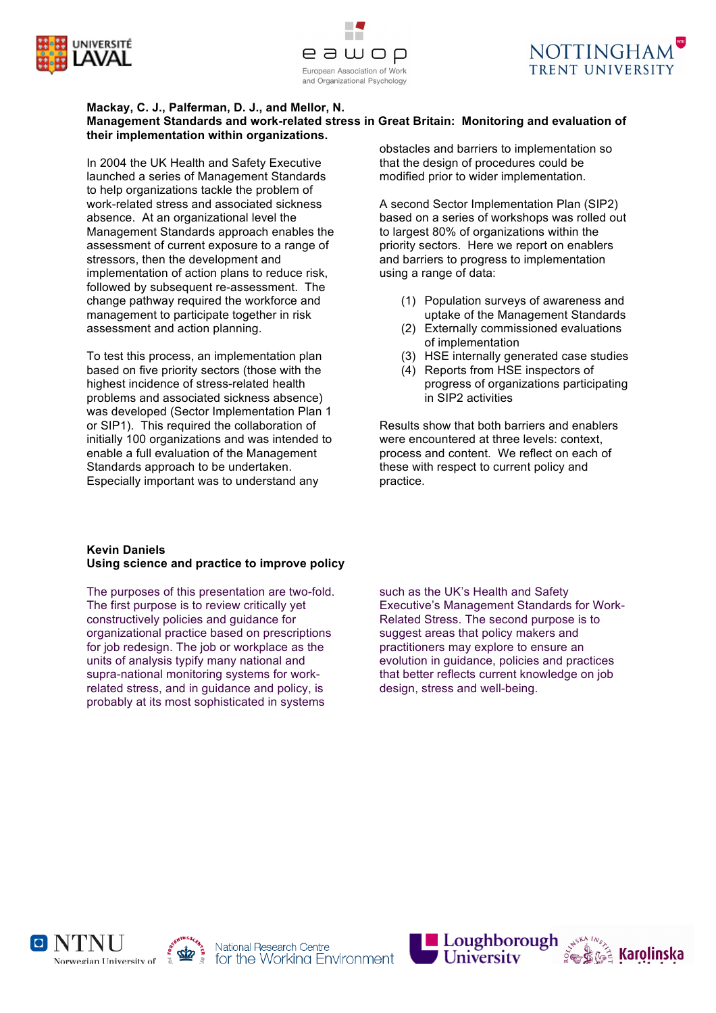





#### **Mackay, C. J., Palferman, D. J., and Mellor, N. Management Standards and work-related stress in Great Britain: Monitoring and evaluation of their implementation within organizations.**

In 2004 the UK Health and Safety Executive launched a series of Management Standards to help organizations tackle the problem of work-related stress and associated sickness absence. At an organizational level the Management Standards approach enables the assessment of current exposure to a range of stressors, then the development and implementation of action plans to reduce risk, followed by subsequent re-assessment. The change pathway required the workforce and management to participate together in risk assessment and action planning.

To test this process, an implementation plan based on five priority sectors (those with the highest incidence of stress-related health problems and associated sickness absence) was developed (Sector Implementation Plan 1 or SIP1). This required the collaboration of initially 100 organizations and was intended to enable a full evaluation of the Management Standards approach to be undertaken. Especially important was to understand any

**Kevin Daniels Using science and practice to improve policy**

The purposes of this presentation are two-fold. The first purpose is to review critically yet constructively policies and guidance for organizational practice based on prescriptions for job redesign. The job or workplace as the units of analysis typify many national and supra-national monitoring systems for workrelated stress, and in guidance and policy, is probably at its most sophisticated in systems

obstacles and barriers to implementation so that the design of procedures could be modified prior to wider implementation.

A second Sector Implementation Plan (SIP2) based on a series of workshops was rolled out to largest 80% of organizations within the priority sectors. Here we report on enablers and barriers to progress to implementation using a range of data:

- (1) Population surveys of awareness and uptake of the Management Standards
- (2) Externally commissioned evaluations of implementation
- (3) HSE internally generated case studies
- (4) Reports from HSE inspectors of progress of organizations participating in SIP2 activities

Results show that both barriers and enablers were encountered at three levels: context, process and content. We reflect on each of these with respect to current policy and practice.

such as the UK's Health and Safety Executive's Management Standards for Work-Related Stress. The second purpose is to suggest areas that policy makers and practitioners may explore to ensure an evolution in guidance, policies and practices that better reflects current knowledge on job design, stress and well-being.